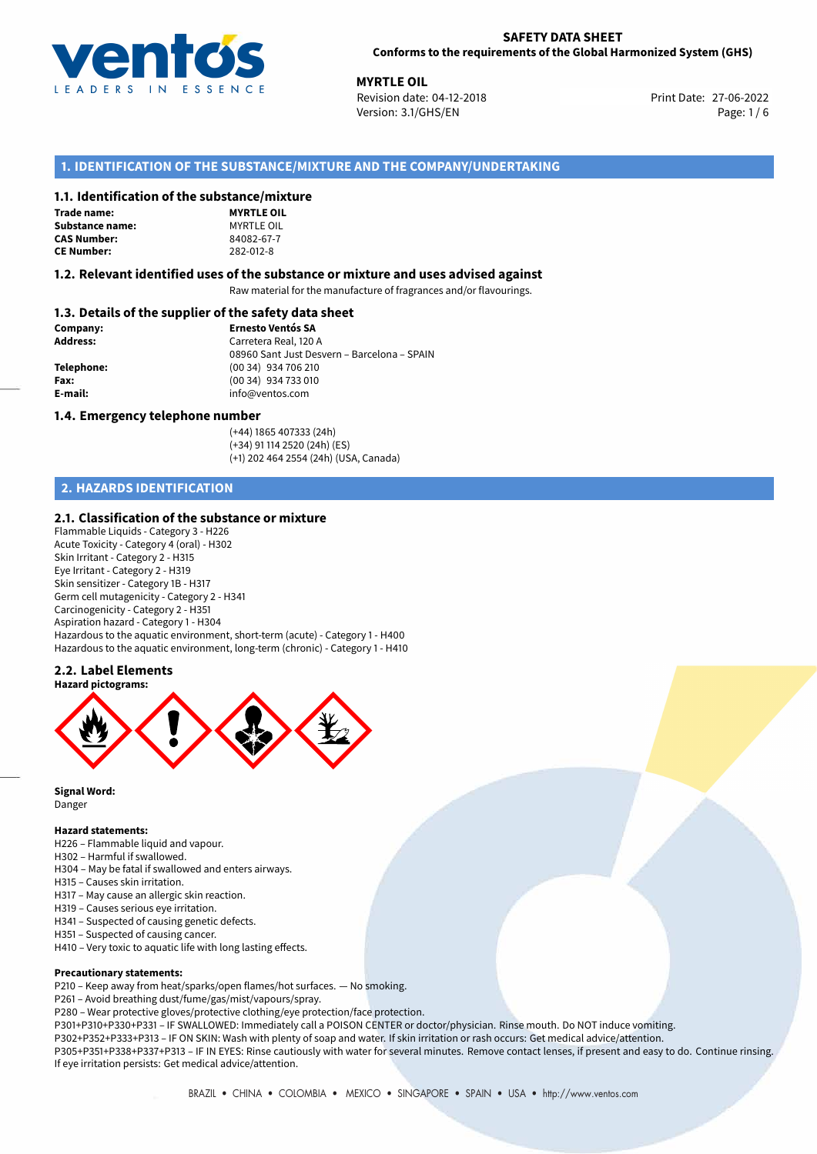

**MYRTLE OIL**<br>27-06-2022 **Revision date: 04-12-2018** Print Date: 27-06-2022 Version: 3.1/GHS/EN Page: 1 / 6

## **1. IDENTIFICATION OF THE SUBSTANCE/MIXTURE AND THE COMPANY/UNDERTAKING**

### **1.1. Identification of the substance/mixture**

#### **Trade name:** Substance name: **CAS Number:**

**CE Number:** 282-012-8

| ,,,,,,,,,,,,,,,   |
|-------------------|
| <b>MYRTLE OIL</b> |
| MYRTLE OIL        |
| 84082-67-7        |
| 282-012-8         |

### **1.2. Relevant identified uses of the substance or mixture and uses advised against**

Raw material for the manufacture of fragrances and/or flavourings.

## **1.3. Details of the supplier of the safety data sheet**

| Company:        | <b>Ernesto Ventós SA</b>                    |
|-----------------|---------------------------------------------|
| <b>Address:</b> | Carretera Real, 120 A                       |
|                 | 08960 Sant Just Desvern - Barcelona - SPAIN |
| Telephone:      | (00 34) 934 706 210                         |
| Fax:            | (00 34) 934 733 010                         |
| E-mail:         | info@ventos.com                             |
|                 |                                             |

#### **1.4. Emergency telephone number**

(+44) 1865 407333 (24h) (+34) 91 114 2520 (24h) (ES) (+1) 202 464 2554 (24h) (USA, Canada)

## **2. HAZARDS IDENTIFICATION**

## **2.1. Classification of the substance or mixture**

Flammable Liquids - Category 3 - H226 Acute Toxicity - Category 4 (oral) - H302 Skin Irritant - Category 2 - H315 Eye Irritant - Category 2 - H319 Skin sensitizer - Category 1B - H317 Germ cell mutagenicity - Category 2 - H341 Carcinogenicity - Category 2 - H351 Aspiration hazard - Category 1 - H304 Hazardous to the aquatic environment, short-term (acute) - Category 1 - H400 Hazardous to the aquatic environment, long-term (chronic) - Category 1 - H410

## **2.2. Label Elements**



**Signal Word:** Danger

#### **Hazard statements:**

- H226 Flammable liquid and vapour.
- H302 Harmful if swallowed.
- H304 May be fatal if swallowed and enters airways.
- H315 Causes skin irritation.
- H317 May cause an allergic skin reaction.
- H319 Causes serious eye irritation.
- H341 Suspected of causing genetic defects.
- H351 Suspected of causing cancer.
- H410 Very toxic to aquatic life with long lasting effects.

#### **Precautionary statements:**

- P210 Keep away from heat/sparks/open flames/hot surfaces. No smoking.
- P261 Avoid breathing dust/fume/gas/mist/vapours/spray.
- P280 Wear protective gloves/protective clothing/eye protection/face protection.

P301+P310+P330+P331 – IF SWALLOWED: Immediately call a POISON CENTER or doctor/physician. Rinse mouth. Do NOT induce vomiting. P302+P352+P333+P313 – IF ON SKIN: Wash with plenty of soap and water. If skin irritation or rash occurs: Get medical advice/attention.

P305+P351+P338+P337+P313 – IF IN EYES: Rinse cautiously with water for several minutes. Remove contact lenses, if present and easy to do. Continue rinsing. If eye irritation persists: Get medical advice/attention.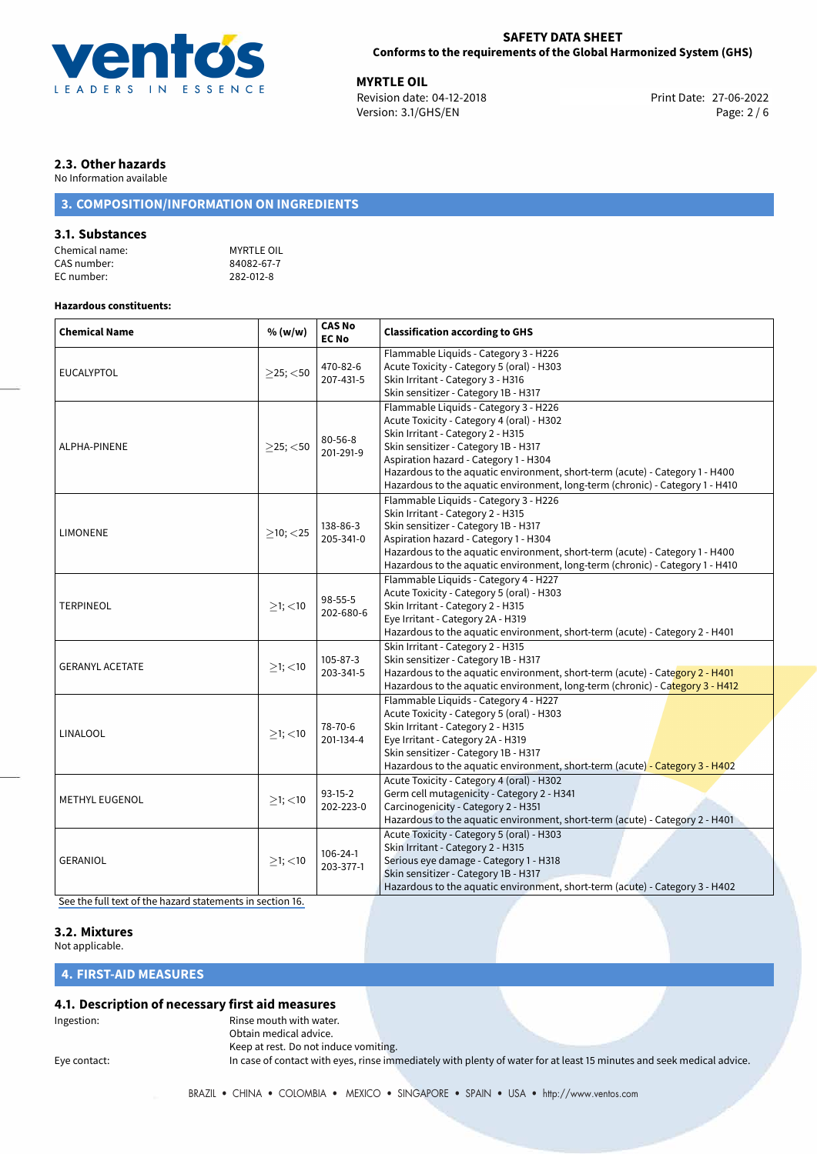

**MYRTLE OIL**<br> **Revision date: 04-12-2018** Print Date: 27-06-2022 Version: 3.1/GHS/EN Page: 2 / 6

## **2.3. Other hazards**

No Information available

# **3. COMPOSITION/INFORMATION ON INGREDIENTS**

## **3.1. Substances**

| Chemical name: | <b>MYRTLE OIL</b> |
|----------------|-------------------|
| CAS number:    | 84082-67-7        |
| EC number:     | 282-012-8         |

## **Hazardous constituents:**

| <b>Chemical Name</b>   | % (w/w)        | <b>CAS No</b><br><b>EC No</b> | <b>Classification according to GHS</b>                                                                                                                                                                                                                                                                                                                                    |  |
|------------------------|----------------|-------------------------------|---------------------------------------------------------------------------------------------------------------------------------------------------------------------------------------------------------------------------------------------------------------------------------------------------------------------------------------------------------------------------|--|
| <b>EUCALYPTOL</b>      | $>25$ ; $<$ 50 | 470-82-6<br>207-431-5         | Flammable Liquids - Category 3 - H226<br>Acute Toxicity - Category 5 (oral) - H303<br>Skin Irritant - Category 3 - H316<br>Skin sensitizer - Category 1B - H317                                                                                                                                                                                                           |  |
| ALPHA-PINENE           | $>25$ ; $<$ 50 | $80 - 56 - 8$<br>201-291-9    | Flammable Liquids - Category 3 - H226<br>Acute Toxicity - Category 4 (oral) - H302<br>Skin Irritant - Category 2 - H315<br>Skin sensitizer - Category 1B - H317<br>Aspiration hazard - Category 1 - H304<br>Hazardous to the aquatic environment, short-term (acute) - Category 1 - H400<br>Hazardous to the aquatic environment, long-term (chronic) - Category 1 - H410 |  |
| <b>LIMONENE</b>        | $>10$ ; $<$ 25 | 138-86-3<br>205-341-0         | Flammable Liquids - Category 3 - H226<br>Skin Irritant - Category 2 - H315<br>Skin sensitizer - Category 1B - H317<br>Aspiration hazard - Category 1 - H304<br>Hazardous to the aquatic environment, short-term (acute) - Category 1 - H400<br>Hazardous to the aquatic environment, long-term (chronic) - Category 1 - H410                                              |  |
| <b>TERPINEOL</b>       | $\geq$ 1; <10  | 98-55-5<br>202-680-6          | Flammable Liquids - Category 4 - H227<br>Acute Toxicity - Category 5 (oral) - H303<br>Skin Irritant - Category 2 - H315<br>Eye Irritant - Category 2A - H319<br>Hazardous to the aquatic environment, short-term (acute) - Category 2 - H401                                                                                                                              |  |
| <b>GERANYL ACETATE</b> | $>1$ ; $<$ 10  | $105 - 87 - 3$<br>203-341-5   | Skin Irritant - Category 2 - H315<br>Skin sensitizer - Category 1B - H317<br>Hazardous to the aquatic environment, short-term (acute) - Category 2 - H401<br>Hazardous to the aquatic environment, long-term (chronic) - Category 3 - H412                                                                                                                                |  |
| LINALOOL               | $>1$ ; <10     | 78-70-6<br>201-134-4          | Flammable Liquids - Category 4 - H227<br>Acute Toxicity - Category 5 (oral) - H303<br>Skin Irritant - Category 2 - H315<br>Eye Irritant - Category 2A - H319<br>Skin sensitizer - Category 1B - H317<br>Hazardous to the aquatic environment, short-term (acute) - Category 3 - H402                                                                                      |  |
| <b>METHYL EUGENOL</b>  | $>1$ ; <10     | $93-15-2$<br>202-223-0        | Acute Toxicity - Category 4 (oral) - H302<br>Germ cell mutagenicity - Category 2 - H341<br>Carcinogenicity - Category 2 - H351<br>Hazardous to the aquatic environment, short-term (acute) - Category 2 - H401                                                                                                                                                            |  |
| <b>GERANIOL</b>        | $>1$ ; <10     | $106 - 24 - 1$<br>203-377-1   | Acute Toxicity - Category 5 (oral) - H303<br>Skin Irritant - Category 2 - H315<br>Serious eye damage - Category 1 - H318<br>Skin sensitizer - Category 1B - H317<br>Hazardous to the aquatic environment, short-term (acute) - Category 3 - H402                                                                                                                          |  |

[See the full text of the hazard statements in section 16.](#page-4-0)

## **3.2. Mixtures**

Not applicable.

## **4. FIRST-AID MEASURES**

## **4.1. Description of necessary first aid measures**

Ingestion: **All and Struth With Water.** Rinse mouth with water. Obtain medical advice. Keep at rest. Do not induce vomiting.

Eye contact: In case of contact with eyes, rinse immediately with plenty of water for at least 15 minutes and seek medical advice.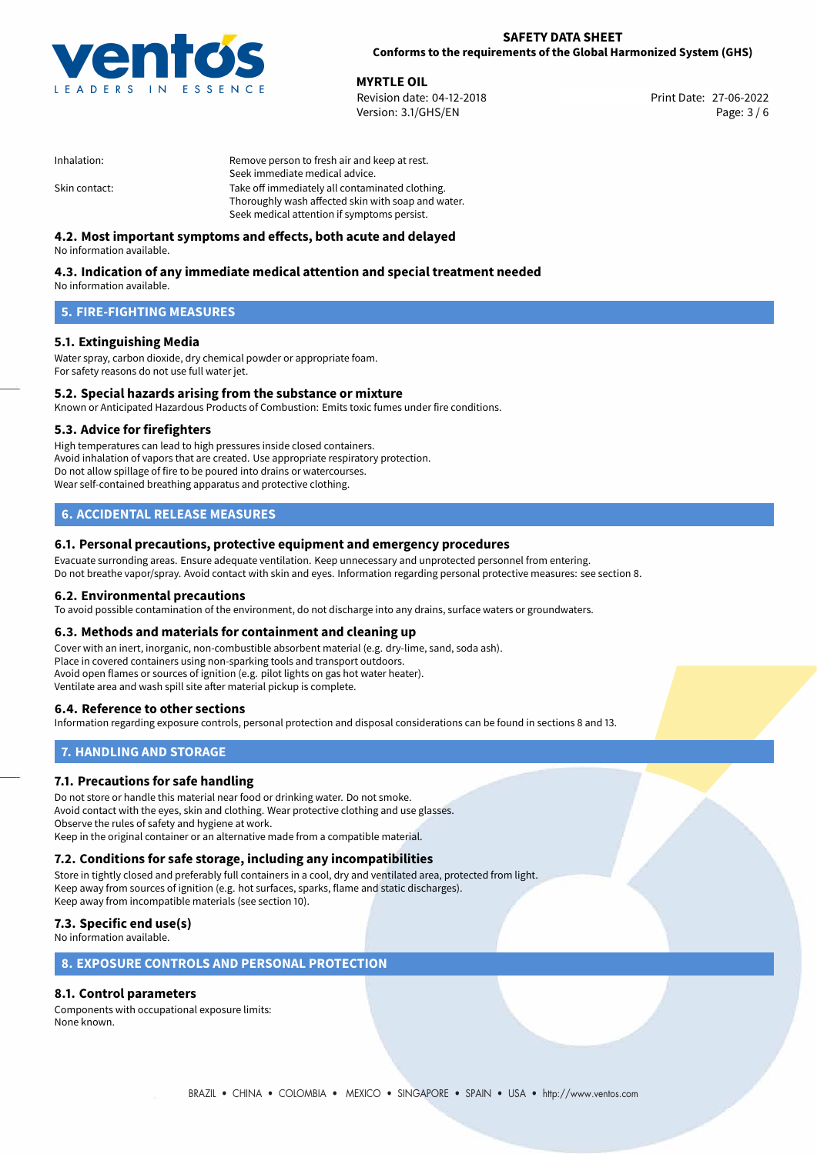

**MYRTLE OIL**<br> **Revision date: 04-12-2018** Print Date: 27-06-2022 Version: 3.1/GHS/EN Page: 3 / 6

| Inhalation:   | Remove person to fresh air and keep at rest.       |  |
|---------------|----------------------------------------------------|--|
|               | Seek immediate medical advice.                     |  |
| Skin contact: | Take off immediately all contaminated clothing.    |  |
|               | Thoroughly wash affected skin with soap and water. |  |
|               | Seek medical attention if symptoms persist.        |  |

## **4.2. Most important symptoms and effects, both acute and delayed**

No information available.

# **4.3. Indication of any immediate medical attention and special treatment needed**

No information available.

## **5. FIRE-FIGHTING MEASURES**

## **5.1. Extinguishing Media**

Water spray, carbon dioxide, dry chemical powder or appropriate foam. For safety reasons do not use full water jet.

## **5.2. Special hazards arising from the substance or mixture**

Known or Anticipated Hazardous Products of Combustion: Emits toxic fumes under fire conditions.

## **5.3. Advice for firefighters**

High temperatures can lead to high pressures inside closed containers. Avoid inhalation of vapors that are created. Use appropriate respiratory protection. Do not allow spillage of fire to be poured into drains or watercourses. Wear self-contained breathing apparatus and protective clothing.

## **6. ACCIDENTAL RELEASE MEASURES**

## **6.1. Personal precautions, protective equipment and emergency procedures**

Evacuate surronding areas. Ensure adequate ventilation. Keep unnecessary and unprotected personnel from entering. Do not breathe vapor/spray. Avoid contact with skin and eyes. Information regarding personal protective measures: see section 8.

## **6.2. Environmental precautions**

To avoid possible contamination of the environment, do not discharge into any drains, surface waters or groundwaters.

## **6.3. Methods and materials for containment and cleaning up**

Cover with an inert, inorganic, non-combustible absorbent material (e.g. dry-lime, sand, soda ash). Place in covered containers using non-sparking tools and transport outdoors. Avoid open flames or sources of ignition (e.g. pilot lights on gas hot water heater). Ventilate area and wash spill site after material pickup is complete.

## **6.4. Reference to other sections**

Information regarding exposure controls, personal protection and disposal considerations can be found in sections 8 and 13.

## **7. HANDLING AND STORAGE**

## **7.1. Precautions for safe handling**

Do not store or handle this material near food or drinking water. Do not smoke. Avoid contact with the eyes, skin and clothing. Wear protective clothing and use glasses. Observe the rules of safety and hygiene at work. Keep in the original container or an alternative made from a compatible material.

# **7.2. Conditions for safe storage, including any incompatibilities**

Store in tightly closed and preferably full containers in a cool, dry and ventilated area, protected from light. Keep away from sources of ignition (e.g. hot surfaces, sparks, flame and static discharges). Keep away from incompatible materials (see section 10).

## **7.3. Specific end use(s)**

No information available.

## **8. EXPOSURE CONTROLS AND PERSONAL PROTECTION**

## **8.1. Control parameters**

Components with occupational exposure limits: None known.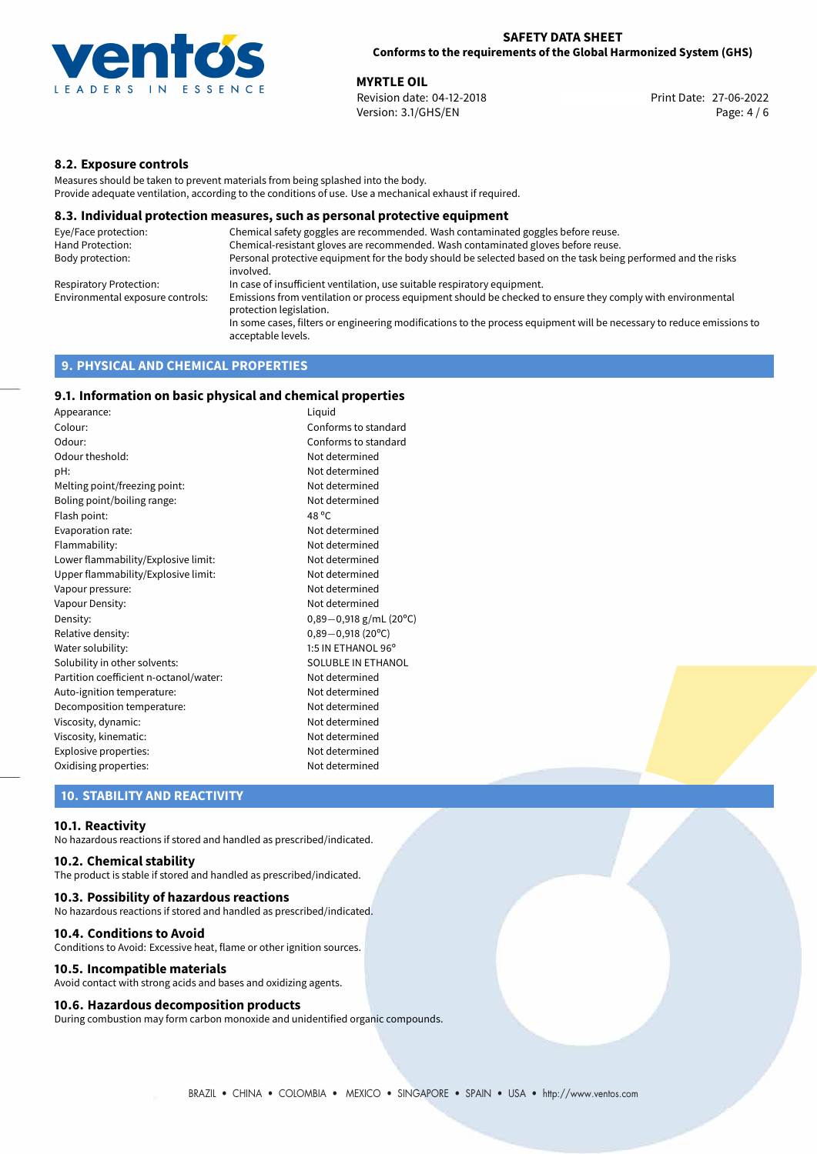

**MYRTLE OIL**<br> **Revision date: 04-12-2018** Print Date: 27-06-2022 Version: 3.1/GHS/EN Page: 4 / 6

## **8.2. Exposure controls**

Measures should be taken to prevent materials from being splashed into the body. Provide adequate ventilation, according to the conditions of use. Use a mechanical exhaust if required.

### **8.3. Individual protection measures, such as personal protective equipment**

| Eye/Face protection:             | Chemical safety goggles are recommended. Wash contaminated goggles before reuse.                                                            |
|----------------------------------|---------------------------------------------------------------------------------------------------------------------------------------------|
| Hand Protection:                 | Chemical-resistant gloves are recommended. Wash contaminated gloves before reuse.                                                           |
| Body protection:                 | Personal protective equipment for the body should be selected based on the task being performed and the risks<br>involved.                  |
| Respiratory Protection:          | In case of insufficient ventilation, use suitable respiratory equipment.                                                                    |
| Environmental exposure controls: | Emissions from ventilation or process equipment should be checked to ensure they comply with environmental<br>protection legislation.       |
|                                  | In some cases, filters or engineering modifications to the process equipment will be necessary to reduce emissions to<br>acceptable levels. |
|                                  |                                                                                                                                             |

## **9. PHYSICAL AND CHEMICAL PROPERTIES**

## **9.1. Information on basic physical and chemical properties**

| Appearance:                            | Liguid                    |
|----------------------------------------|---------------------------|
| Colour:                                | Conforms to standard      |
| Odour:                                 | Conforms to standard      |
| Odour theshold:                        | Not determined            |
| pH:                                    | Not determined            |
| Melting point/freezing point:          | Not determined            |
| Boling point/boiling range:            | Not determined            |
| Flash point:                           | 48 °C                     |
| Evaporation rate:                      | Not determined            |
| Flammability:                          | Not determined            |
| Lower flammability/Explosive limit:    | Not determined            |
| Upper flammability/Explosive limit:    | Not determined            |
| Vapour pressure:                       | Not determined            |
| Vapour Density:                        | Not determined            |
| Density:                               | $0,89-0,918$ g/mL (20°C)  |
| Relative density:                      | $0,89-0,918(20^{\circ}C)$ |
| Water solubility:                      | 1:5 IN ETHANOL 96°        |
| Solubility in other solvents:          | SOLUBLE IN ETHANOL        |
| Partition coefficient n-octanol/water: | Not determined            |
| Auto-ignition temperature:             | Not determined            |
| Decomposition temperature:             | Not determined            |
| Viscosity, dynamic:                    | Not determined            |
| Viscosity, kinematic:                  | Not determined            |
| Explosive properties:                  | Not determined            |
| Oxidising properties:                  | Not determined            |

## **10. STABILITY AND REACTIVITY**

#### **10.1. Reactivity**

No hazardous reactions if stored and handled as prescribed/indicated.

## **10.2. Chemical stability**

The product is stable if stored and handled as prescribed/indicated.

#### **10.3. Possibility of hazardous reactions**

No hazardous reactions if stored and handled as prescribed/indicated.

#### **10.4. Conditions to Avoid**

Conditions to Avoid: Excessive heat, flame or other ignition sources.

#### **10.5. Incompatible materials**

Avoid contact with strong acids and bases and oxidizing agents.

## **10.6. Hazardous decomposition products**

During combustion may form carbon monoxide and unidentified organic compounds.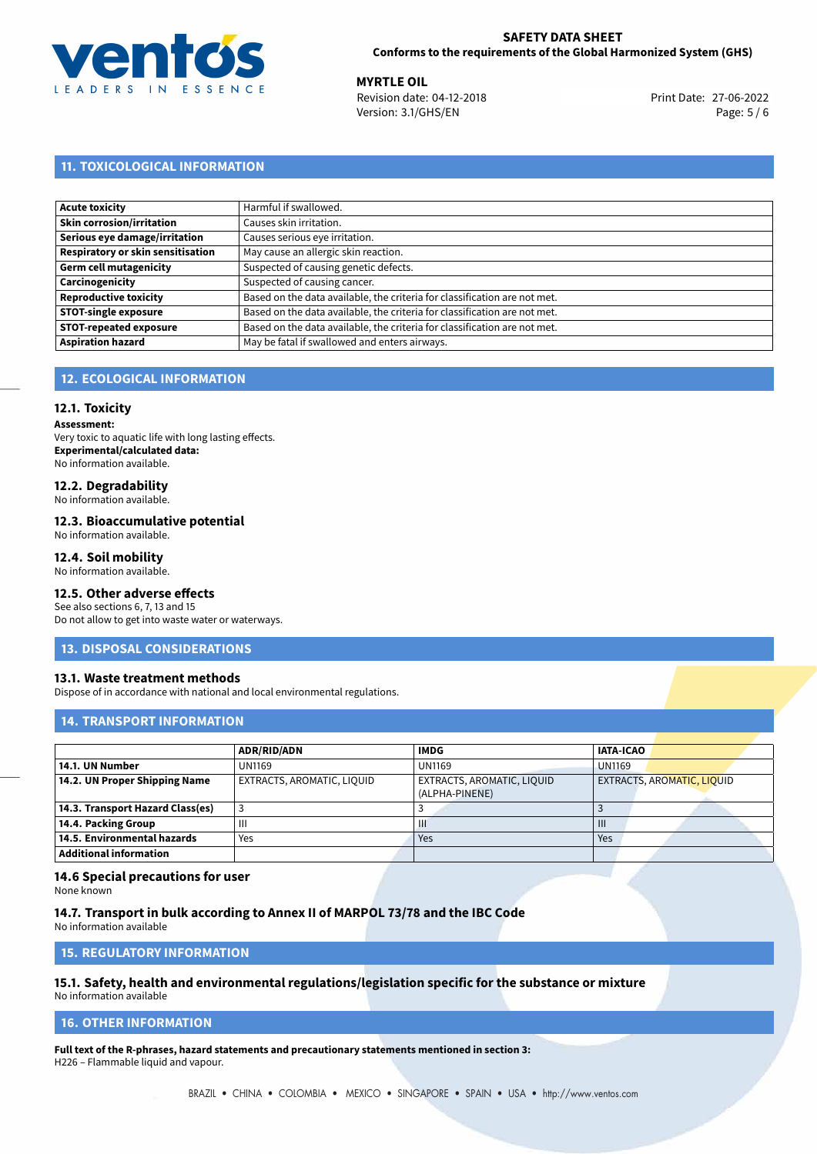

**MYRTLE OIL**<br> **Revision date: 04-12-2018** Print Date: 27-06-2022 Version: 3.1/GHS/EN Page: 5 / 6

# **11. TOXICOLOGICAL INFORMATION**

| Acute toxicity                    | Harmful if swallowed.                                                     |
|-----------------------------------|---------------------------------------------------------------------------|
| Skin corrosion/irritation         | Causes skin irritation.                                                   |
| Serious eye damage/irritation     | Causes serious eye irritation.                                            |
| Respiratory or skin sensitisation | May cause an allergic skin reaction.                                      |
| Germ cell mutagenicity            | Suspected of causing genetic defects.                                     |
| Carcinogenicity                   | Suspected of causing cancer.                                              |
| <b>Reproductive toxicity</b>      | Based on the data available, the criteria for classification are not met. |
| <b>STOT-single exposure</b>       | Based on the data available, the criteria for classification are not met. |
| <b>STOT-repeated exposure</b>     | Based on the data available, the criteria for classification are not met. |
| <b>Aspiration hazard</b>          | May be fatal if swallowed and enters airways.                             |

## **12. ECOLOGICAL INFORMATION**

#### **12.1. Toxicity**

**Assessment:** Very toxic to aquatic life with long lasting effects. **Experimental/calculated data:** No information available.

# **12.2. Degradability**

No information available.

#### **12.3. Bioaccumulative potential**

No information available.

### **12.4. Soil mobility**

No information available.

# **12.5. Other adverse effects**

See also sections 6, 7, 13 and 15 Do not allow to get into waste water or waterways.

#### **13. DISPOSAL CONSIDERATIONS**

#### **13.1. Waste treatment methods**

Dispose of in accordance with national and local environmental regulations.

## **14. TRANSPORT INFORMATION**

|                                  | <b>ADR/RID/ADN</b>         | <b>IMDG</b>                                  | <b>IATA-ICAO</b>                  |
|----------------------------------|----------------------------|----------------------------------------------|-----------------------------------|
| 14.1. UN Number                  | <b>UN1169</b>              | <b>UN1169</b>                                | <b>UN1169</b>                     |
| 14.2. UN Proper Shipping Name    | EXTRACTS, AROMATIC, LIQUID | EXTRACTS, AROMATIC, LIQUID<br>(ALPHA-PINENE) | <b>EXTRACTS, AROMATIC, LIQUID</b> |
| 14.3. Transport Hazard Class(es) |                            |                                              |                                   |
| 14.4. Packing Group              | Ш                          | Ш                                            | $\mathbf{III}$                    |
| 14.5. Environmental hazards      | Yes                        | Yes                                          | Yes                               |
| <b>Additional information</b>    |                            |                                              |                                   |

### **14.6 Special precautions for user**

None known

**14.7. Transport in bulk according to Annex II of MARPOL 73/78 and the IBC Code** No information available

**15. REGULATORY INFORMATION**

# **15.1. Safety, health and environmental regulations/legislation specific for the substance or mixture**

No information available

## <span id="page-4-0"></span>**16. OTHER INFORMATION**

**Full text of the R-phrases, hazard statements and precautionary statements mentioned in section 3:** H226 – Flammable liquid and vapour.